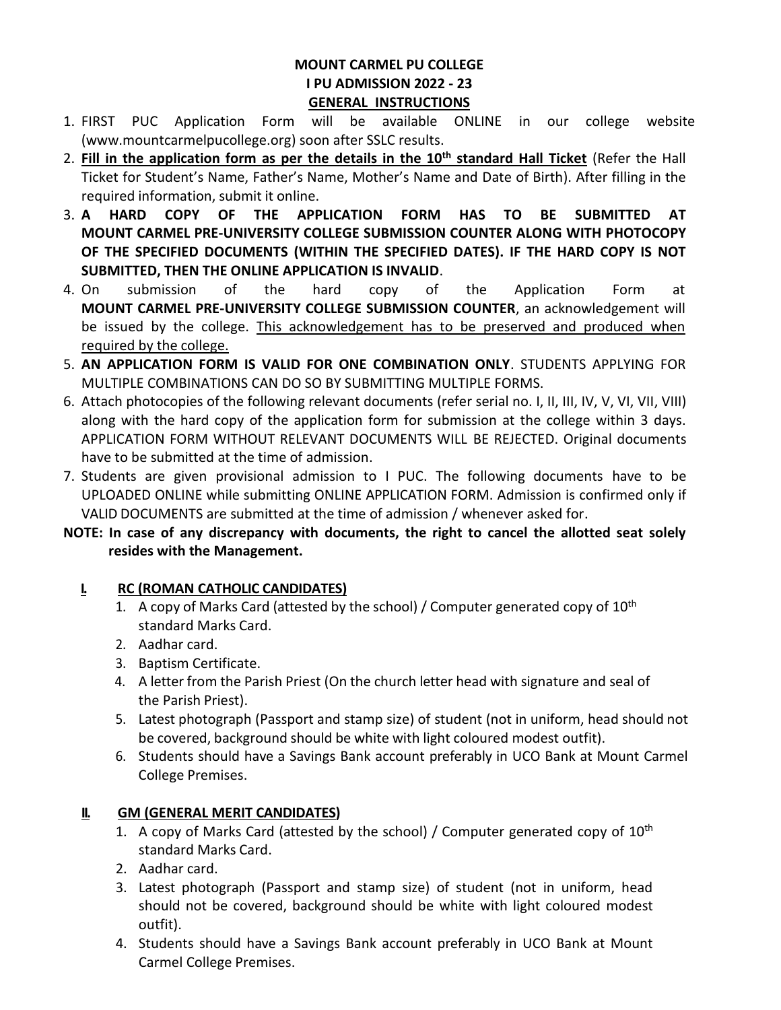#### **MOUNT CARMEL PU COLLEGE I PU ADMISSION 2022 - 23 GENERAL INSTRUCTIONS**

- 1. FIRST PUC Application Form will be available ONLINE in our college website [\(www.mountcarmelpucollege.org\)](http://www.mountcarmelpucollege.org/) soon after SSLC results.
- 2. **Fill in the application form as per the details in the 10th standard Hall Ticket** (Refer the Hall Ticket for Student's Name, Father's Name, Mother's Name and Date of Birth). After filling in the required information, submit it online.
- 3. **A HARD COPY OF THE APPLICATION FORM HAS TO BE SUBMITTED AT MOUNT CARMEL PRE-UNIVERSITY COLLEGE SUBMISSION COUNTER ALONG WITH PHOTOCOPY OF THE SPECIFIED DOCUMENTS (WITHIN THE SPECIFIED DATES). IF THE HARD COPY IS NOT SUBMITTED, THEN THE ONLINE APPLICATION IS INVALID**.
- 4. On submission of the hard copy of the Application Form at **MOUNT CARMEL PRE-UNIVERSITY COLLEGE SUBMISSION COUNTER**, an acknowledgement will be issued by the college. This acknowledgement has to be preserved and produced when required by the college.
- 5. **AN APPLICATION FORM IS VALID FOR ONE COMBINATION ONLY**. STUDENTS APPLYING FOR MULTIPLE COMBINATIONS CAN DO SO BY SUBMITTING MULTIPLE FORMS.
- 6. Attach photocopies of the following relevant documents (refer serial no. I, II, III, IV, V, VI, VII, VIII) along with the hard copy of the application form for submission at the college within 3 days. APPLICATION FORM WITHOUT RELEVANT DOCUMENTS WILL BE REJECTED. Original documents have to be submitted at the time of admission.
- 7. Students are given provisional admission to I PUC. The following documents have to be UPLOADED ONLINE while submitting ONLINE APPLICATION FORM. Admission is confirmed only if VALID DOCUMENTS are submitted at the time of admission / whenever asked for.

## **NOTE: In case of any discrepancy with documents, the right to cancel the allotted seat solely resides with the Management.**

# **I. RC (ROMAN CATHOLIC CANDIDATES)**

- 1. A copy of Marks Card (attested by the school) / Computer generated copy of  $10^{th}$ standard Marks Card.
- 2. Aadhar card.
- 3. Baptism Certificate.
- 4. A letter from the Parish Priest (On the church letter head with signature and seal of the Parish Priest).
- 5. Latest photograph (Passport and stamp size) of student (not in uniform, head should not be covered, background should be white with light coloured modest outfit).
- 6. Students should have a Savings Bank account preferably in UCO Bank at Mount Carmel College Premises.

# **II. GM (GENERAL MERIT CANDIDATES)**

- 1. A copy of Marks Card (attested by the school) / Computer generated copy of  $10<sup>th</sup>$ standard Marks Card.
- 2. Aadhar card.
- 3. Latest photograph (Passport and stamp size) of student (not in uniform, head should not be covered, background should be white with light coloured modest outfit).
- 4. Students should have a Savings Bank account preferably in UCO Bank at Mount Carmel College Premises.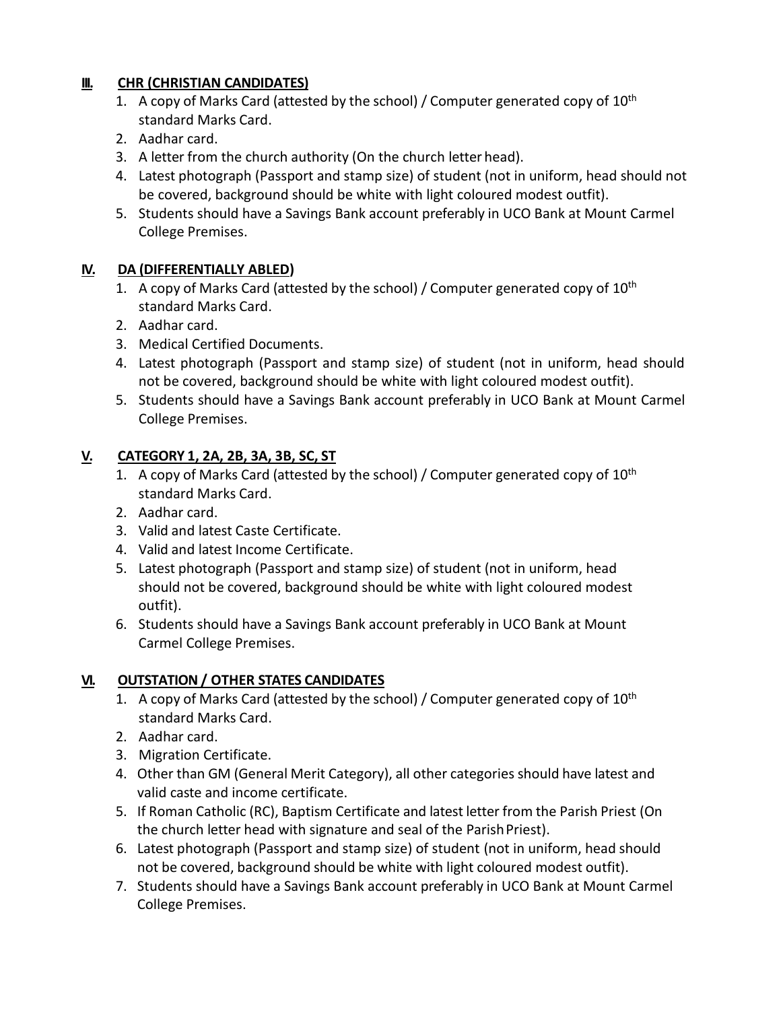## **III. CHR (CHRISTIAN CANDIDATES)**

- 1. A copy of Marks Card (attested by the school) / Computer generated copy of  $10<sup>th</sup>$ standard Marks Card.
- 2. Aadhar card.
- 3. A letter from the church authority (On the church letter head).
- 4. Latest photograph (Passport and stamp size) of student (not in uniform, head should not be covered, background should be white with light coloured modest outfit).
- 5. Students should have a Savings Bank account preferably in UCO Bank at Mount Carmel College Premises.

### **IV. DA (DIFFERENTIALLY ABLED)**

- 1. A copy of Marks Card (attested by the school) / Computer generated copy of  $10^{th}$ standard Marks Card.
- 2. Aadhar card.
- 3. Medical Certified Documents.
- 4. Latest photograph (Passport and stamp size) of student (not in uniform, head should not be covered, background should be white with light coloured modest outfit).
- 5. Students should have a Savings Bank account preferably in UCO Bank at Mount Carmel College Premises.

### **V. CATEGORY 1, 2A, 2B, 3A, 3B, SC, ST**

- 1. A copy of Marks Card (attested by the school) / Computer generated copy of  $10^{th}$ standard Marks Card.
- 2. Aadhar card.
- 3. Valid and latest Caste Certificate.
- 4. Valid and latest Income Certificate.
- 5. Latest photograph (Passport and stamp size) of student (not in uniform, head should not be covered, background should be white with light coloured modest outfit).
- 6. Students should have a Savings Bank account preferably in UCO Bank at Mount Carmel College Premises.

#### **VI. OUTSTATION / OTHER STATES CANDIDATES**

- 1. A copy of Marks Card (attested by the school) / Computer generated copy of 10<sup>th</sup> standard Marks Card.
- 2. Aadhar card.
- 3. Migration Certificate.
- 4. Other than GM (General Merit Category), all other categories should have latest and valid caste and income certificate.
- 5. If Roman Catholic (RC), Baptism Certificate and latest letter from the Parish Priest (On the church letter head with signature and seal of the Parish Priest).
- 6. Latest photograph (Passport and stamp size) of student (not in uniform, head should not be covered, background should be white with light coloured modest outfit).
- 7. Students should have a Savings Bank account preferably in UCO Bank at Mount Carmel College Premises.